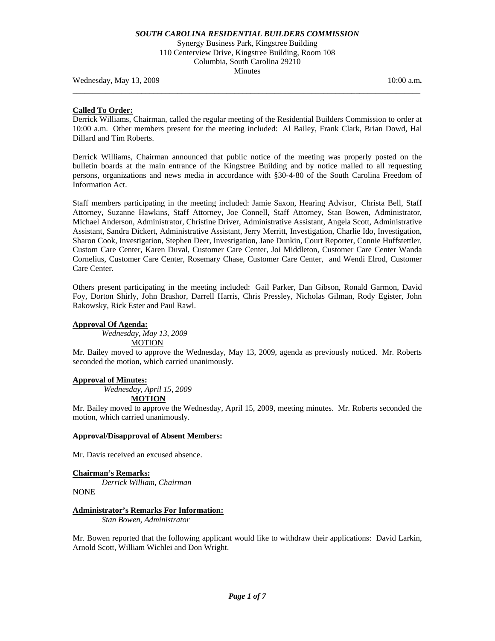Synergy Business Park, Kingstree Building 110 Centerview Drive, Kingstree Building, Room 108 Columbia, South Carolina 29210 Minutes

**\_\_\_\_\_\_\_\_\_\_\_\_\_\_\_\_\_\_\_\_\_\_\_\_\_\_\_\_\_\_\_\_\_\_\_\_\_\_\_\_\_\_\_\_\_\_\_\_\_\_\_\_\_\_\_\_\_\_\_\_\_\_\_\_\_\_\_\_\_\_\_\_\_\_\_\_\_\_\_\_\_\_\_\_\_\_** 

Wednesday, May 13, 2009 **10:00 a.m. 10:00 a.m. 10:00 a.m. 10:00 a.m.** 

## **Called To Order:**

Derrick Williams, Chairman, called the regular meeting of the Residential Builders Commission to order at 10:00 a.m. Other members present for the meeting included: Al Bailey, Frank Clark, Brian Dowd, Hal Dillard and Tim Roberts.

Derrick Williams, Chairman announced that public notice of the meeting was properly posted on the bulletin boards at the main entrance of the Kingstree Building and by notice mailed to all requesting persons, organizations and news media in accordance with §30-4-80 of the South Carolina Freedom of Information Act.

Staff members participating in the meeting included: Jamie Saxon, Hearing Advisor, Christa Bell, Staff Attorney, Suzanne Hawkins, Staff Attorney, Joe Connell, Staff Attorney, Stan Bowen, Administrator, Michael Anderson, Administrator, Christine Driver, Administrative Assistant, Angela Scott, Administrative Assistant, Sandra Dickert, Administrative Assistant, Jerry Merritt, Investigation, Charlie Ido, Investigation, Sharon Cook, Investigation, Stephen Deer, Investigation, Jane Dunkin, Court Reporter, Connie Huffstettler, Custom Care Center, Karen Duval, Customer Care Center, Joi Middleton, Customer Care Center Wanda Cornelius, Customer Care Center, Rosemary Chase, Customer Care Center, and Wendi Elrod, Customer Care Center.

Others present participating in the meeting included: Gail Parker, Dan Gibson, Ronald Garmon, David Foy, Dorton Shirly, John Brashor, Darrell Harris, Chris Pressley, Nicholas Gilman, Rody Egister, John Rakowsky, Rick Ester and Paul Rawl.

## **Approval Of Agenda:**

*Wednesday, May 13, 2009*  **MOTION** 

Mr. Bailey moved to approve the Wednesday, May 13, 2009, agenda as previously noticed. Mr. Roberts seconded the motion, which carried unanimously.

## **Approval of Minutes:**

 *Wednesday, April 15, 2009*  **MOTION**

Mr. Bailey moved to approve the Wednesday, April 15, 2009, meeting minutes. Mr. Roberts seconded the motion, which carried unanimously.

## **Approval/Disapproval of Absent Members:**

Mr. Davis received an excused absence.

**Chairman's Remarks:**  *Derrick William, Chairman* 

NONE

## **Administrator's Remarks For Information:**

 *Stan Bowen, Administrator* 

Mr. Bowen reported that the following applicant would like to withdraw their applications: David Larkin, Arnold Scott, William Wichlei and Don Wright.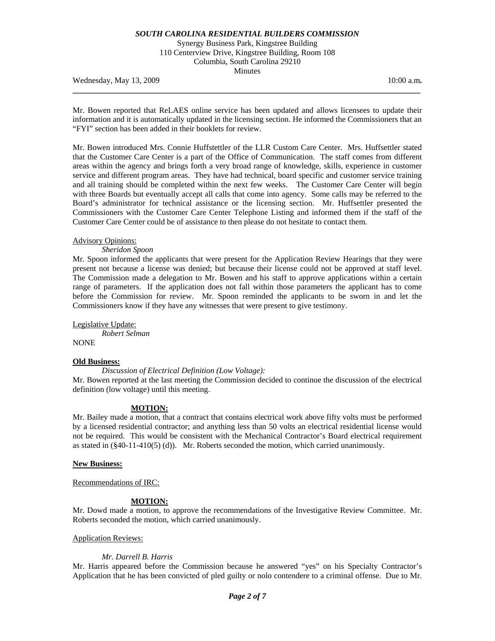Synergy Business Park, Kingstree Building 110 Centerview Drive, Kingstree Building, Room 108 Columbia, South Carolina 29210 Minutes

Wednesday, May 13, 2009 **10:00 a.m. 10:00 a.m. 10:00 a.m. 10:00 a.m.** 

Mr. Bowen reported that ReLAES online service has been updated and allows licensees to update their information and it is automatically updated in the licensing section. He informed the Commissioners that an "FYI" section has been added in their booklets for review.

**\_\_\_\_\_\_\_\_\_\_\_\_\_\_\_\_\_\_\_\_\_\_\_\_\_\_\_\_\_\_\_\_\_\_\_\_\_\_\_\_\_\_\_\_\_\_\_\_\_\_\_\_\_\_\_\_\_\_\_\_\_\_\_\_\_\_\_\_\_\_\_\_\_\_\_\_\_\_\_\_\_\_\_\_\_\_** 

Mr. Bowen introduced Mrs. Connie Huffstettler of the LLR Custom Care Center. Mrs. Huffsettler stated that the Customer Care Center is a part of the Office of Communication. The staff comes from different areas within the agency and brings forth a very broad range of knowledge, skills, experience in customer service and different program areas. They have had technical, board specific and customer service training and all training should be completed within the next few weeks. The Customer Care Center will begin with three Boards but eventually accept all calls that come into agency. Some calls may be referred to the Board's administrator for technical assistance or the licensing section. Mr. Huffsettler presented the Commissioners with the Customer Care Center Telephone Listing and informed them if the staff of the Customer Care Center could be of assistance to then please do not hesitate to contact them.

## Advisory Opinions:

#### *Sheridon Spoon*

Mr. Spoon informed the applicants that were present for the Application Review Hearings that they were present not because a license was denied; but because their license could not be approved at staff level. The Commission made a delegation to Mr. Bowen and his staff to approve applications within a certain range of parameters. If the application does not fall within those parameters the applicant has to come before the Commission for review. Mr. Spoon reminded the applicants to be sworn in and let the Commissioners know if they have any witnesses that were present to give testimony.

Legislative Update: *Robert Selman*  **NONE** 

## **Old Business:**

#### *Discussion of Electrical Definition (Low Voltage):*

Mr. Bowen reported at the last meeting the Commission decided to continue the discussion of the electrical definition (low voltage) until this meeting.

## **MOTION:**

Mr. Bailey made a motion, that a contract that contains electrical work above fifty volts must be performed by a licensed residential contractor; and anything less than 50 volts an electrical residential license would not be required. This would be consistent with the Mechanical Contractor's Board electrical requirement as stated in (§40-11-410(5) (d)). Mr. Roberts seconded the motion, which carried unanimously.

#### **New Business:**

Recommendations of IRC:

## **MOTION:**

Mr. Dowd made a motion, to approve the recommendations of the Investigative Review Committee. Mr. Roberts seconded the motion, which carried unanimously.

#### Application Reviews:

## *Mr. Darrell B. Harris*

Mr. Harris appeared before the Commission because he answered "yes" on his Specialty Contractor's Application that he has been convicted of pled guilty or nolo contendere to a criminal offense. Due to Mr.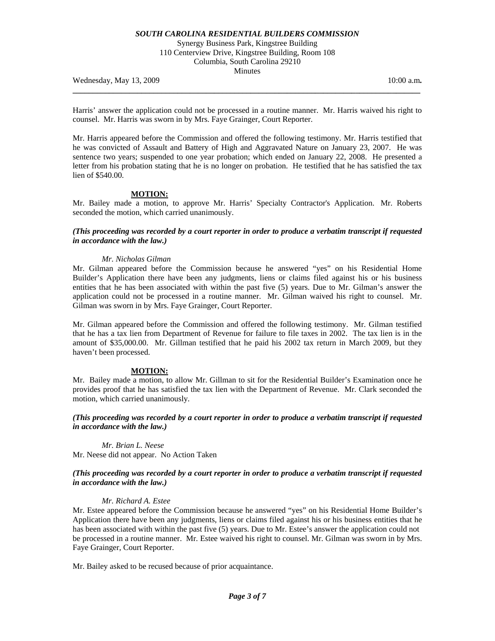Synergy Business Park, Kingstree Building 110 Centerview Drive, Kingstree Building, Room 108 Columbia, South Carolina 29210 Minutes

Wednesday, May 13, 2009 **10:00 a.m. 10:00 a.m. 10:00 a.m. 10:00 a.m.** 

Harris' answer the application could not be processed in a routine manner. Mr. Harris waived his right to counsel. Mr. Harris was sworn in by Mrs. Faye Grainger, Court Reporter.

**\_\_\_\_\_\_\_\_\_\_\_\_\_\_\_\_\_\_\_\_\_\_\_\_\_\_\_\_\_\_\_\_\_\_\_\_\_\_\_\_\_\_\_\_\_\_\_\_\_\_\_\_\_\_\_\_\_\_\_\_\_\_\_\_\_\_\_\_\_\_\_\_\_\_\_\_\_\_\_\_\_\_\_\_\_\_** 

Mr. Harris appeared before the Commission and offered the following testimony. Mr. Harris testified that he was convicted of Assault and Battery of High and Aggravated Nature on January 23, 2007. He was sentence two years; suspended to one year probation; which ended on January 22, 2008. He presented a letter from his probation stating that he is no longer on probation. He testified that he has satisfied the tax lien of \$540.00.

# **MOTION:**

Mr. Bailey made a motion, to approve Mr. Harris' Specialty Contractor's Application. Mr. Roberts seconded the motion, which carried unanimously.

# *(This proceeding was recorded by a court reporter in order to produce a verbatim transcript if requested in accordance with the law.)*

### *Mr. Nicholas Gilman*

Mr. Gilman appeared before the Commission because he answered "yes" on his Residential Home Builder's Application there have been any judgments, liens or claims filed against his or his business entities that he has been associated with within the past five (5) years. Due to Mr. Gilman's answer the application could not be processed in a routine manner. Mr. Gilman waived his right to counsel. Mr. Gilman was sworn in by Mrs. Faye Grainger, Court Reporter.

Mr. Gilman appeared before the Commission and offered the following testimony. Mr. Gilman testified that he has a tax lien from Department of Revenue for failure to file taxes in 2002. The tax lien is in the amount of \$35,000.00. Mr. Gillman testified that he paid his 2002 tax return in March 2009, but they haven't been processed.

#### **MOTION:**

Mr. Bailey made a motion, to allow Mr. Gillman to sit for the Residential Builder's Examination once he provides proof that he has satisfied the tax lien with the Department of Revenue. Mr. Clark seconded the motion, which carried unanimously.

*(This proceeding was recorded by a court reporter in order to produce a verbatim transcript if requested in accordance with the law.)* 

*Mr. Brian L. Neese* 

Mr. Neese did not appear. No Action Taken

### *(This proceeding was recorded by a court reporter in order to produce a verbatim transcript if requested in accordance with the law.)*

## *Mr. Richard A. Estee*

Mr. Estee appeared before the Commission because he answered "yes" on his Residential Home Builder's Application there have been any judgments, liens or claims filed against his or his business entities that he has been associated with within the past five (5) years. Due to Mr. Estee's answer the application could not be processed in a routine manner. Mr. Estee waived his right to counsel. Mr. Gilman was sworn in by Mrs. Faye Grainger, Court Reporter.

Mr. Bailey asked to be recused because of prior acquaintance.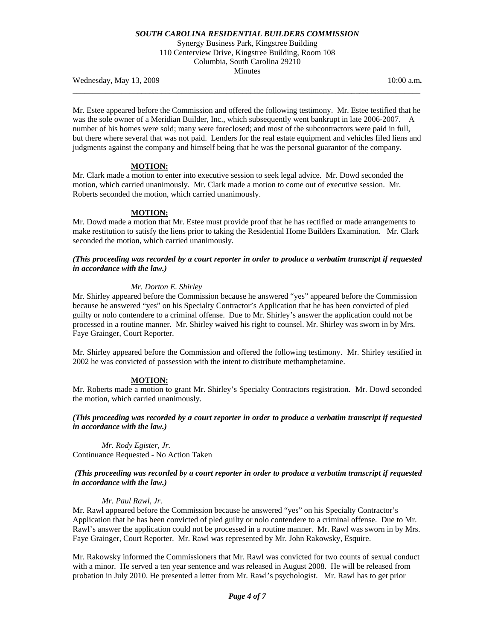Synergy Business Park, Kingstree Building 110 Centerview Drive, Kingstree Building, Room 108 Columbia, South Carolina 29210 Minutes

**\_\_\_\_\_\_\_\_\_\_\_\_\_\_\_\_\_\_\_\_\_\_\_\_\_\_\_\_\_\_\_\_\_\_\_\_\_\_\_\_\_\_\_\_\_\_\_\_\_\_\_\_\_\_\_\_\_\_\_\_\_\_\_\_\_\_\_\_\_\_\_\_\_\_\_\_\_\_\_\_\_\_\_\_\_\_** 

Wednesday, May 13, 2009 10:00 a.m.

Mr. Estee appeared before the Commission and offered the following testimony. Mr. Estee testified that he was the sole owner of a Meridian Builder, Inc., which subsequently went bankrupt in late 2006-2007. A number of his homes were sold; many were foreclosed; and most of the subcontractors were paid in full, but there where several that was not paid. Lenders for the real estate equipment and vehicles filed liens and judgments against the company and himself being that he was the personal guarantor of the company.

# **MOTION:**

Mr. Clark made a motion to enter into executive session to seek legal advice. Mr. Dowd seconded the motion, which carried unanimously. Mr. Clark made a motion to come out of executive session. Mr. Roberts seconded the motion, which carried unanimously.

# **MOTION:**

Mr. Dowd made a motion that Mr. Estee must provide proof that he has rectified or made arrangements to make restitution to satisfy the liens prior to taking the Residential Home Builders Examination. Mr. Clark seconded the motion, which carried unanimously.

# *(This proceeding was recorded by a court reporter in order to produce a verbatim transcript if requested in accordance with the law.)*

# *Mr. Dorton E. Shirley*

Mr. Shirley appeared before the Commission because he answered "yes" appeared before the Commission because he answered "yes" on his Specialty Contractor's Application that he has been convicted of pled guilty or nolo contendere to a criminal offense. Due to Mr. Shirley's answer the application could not be processed in a routine manner. Mr. Shirley waived his right to counsel. Mr. Shirley was sworn in by Mrs. Faye Grainger, Court Reporter.

Mr. Shirley appeared before the Commission and offered the following testimony. Mr. Shirley testified in 2002 he was convicted of possession with the intent to distribute methamphetamine.

# **MOTION:**

Mr. Roberts made a motion to grant Mr. Shirley's Specialty Contractors registration. Mr. Dowd seconded the motion, which carried unanimously.

*(This proceeding was recorded by a court reporter in order to produce a verbatim transcript if requested in accordance with the law.)* 

*Mr. Rody Egister, Jr.*  Continuance Requested - No Action Taken

## *(This proceeding was recorded by a court reporter in order to produce a verbatim transcript if requested in accordance with the law.)*

# *Mr. Paul Rawl, Jr.*

Mr. Rawl appeared before the Commission because he answered "yes" on his Specialty Contractor's Application that he has been convicted of pled guilty or nolo contendere to a criminal offense. Due to Mr. Rawl's answer the application could not be processed in a routine manner. Mr. Rawl was sworn in by Mrs. Faye Grainger, Court Reporter. Mr. Rawl was represented by Mr. John Rakowsky, Esquire.

Mr. Rakowsky informed the Commissioners that Mr. Rawl was convicted for two counts of sexual conduct with a minor. He served a ten year sentence and was released in August 2008. He will be released from probation in July 2010. He presented a letter from Mr. Rawl's psychologist. Mr. Rawl has to get prior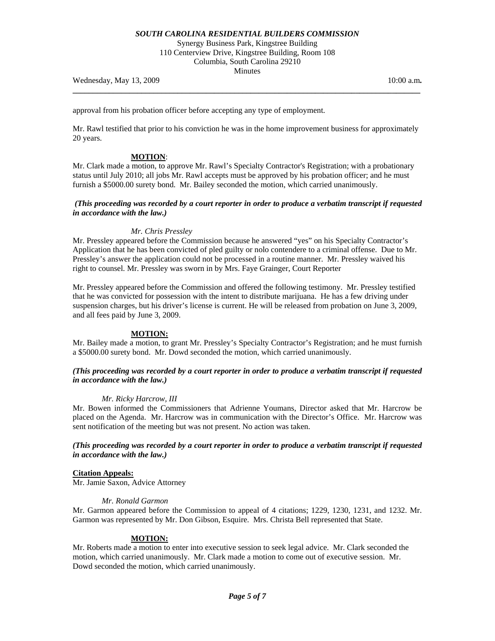Synergy Business Park, Kingstree Building 110 Centerview Drive, Kingstree Building, Room 108 Columbia, South Carolina 29210 Minutes

**\_\_\_\_\_\_\_\_\_\_\_\_\_\_\_\_\_\_\_\_\_\_\_\_\_\_\_\_\_\_\_\_\_\_\_\_\_\_\_\_\_\_\_\_\_\_\_\_\_\_\_\_\_\_\_\_\_\_\_\_\_\_\_\_\_\_\_\_\_\_\_\_\_\_\_\_\_\_\_\_\_\_\_\_\_\_** 

Wednesday, May 13, 2009 10:00 a.m. **10:00 a.m. 10:00 a.m. 10:00 a.m.** 

approval from his probation officer before accepting any type of employment.

Mr. Rawl testified that prior to his conviction he was in the home improvement business for approximately 20 years.

## **MOTION**:

Mr. Clark made a motion, to approve Mr. Rawl's Specialty Contractor's Registration; with a probationary status until July 2010; all jobs Mr. Rawl accepts must be approved by his probation officer; and he must furnish a \$5000.00 surety bond. Mr. Bailey seconded the motion, which carried unanimously.

## *(This proceeding was recorded by a court reporter in order to produce a verbatim transcript if requested in accordance with the law.)*

## *Mr. Chris Pressley*

Mr. Pressley appeared before the Commission because he answered "yes" on his Specialty Contractor's Application that he has been convicted of pled guilty or nolo contendere to a criminal offense. Due to Mr. Pressley's answer the application could not be processed in a routine manner. Mr. Pressley waived his right to counsel. Mr. Pressley was sworn in by Mrs. Faye Grainger, Court Reporter

Mr. Pressley appeared before the Commission and offered the following testimony. Mr. Pressley testified that he was convicted for possession with the intent to distribute marijuana. He has a few driving under suspension charges, but his driver's license is current. He will be released from probation on June 3, 2009, and all fees paid by June 3, 2009.

## **MOTION:**

Mr. Bailey made a motion, to grant Mr. Pressley's Specialty Contractor's Registration; and he must furnish a \$5000.00 surety bond. Mr. Dowd seconded the motion, which carried unanimously.

## *(This proceeding was recorded by a court reporter in order to produce a verbatim transcript if requested in accordance with the law.)*

#### *Mr. Ricky Harcrow, III*

Mr. Bowen informed the Commissioners that Adrienne Youmans, Director asked that Mr. Harcrow be placed on the Agenda. Mr. Harcrow was in communication with the Director's Office. Mr. Harcrow was sent notification of the meeting but was not present. No action was taken.

## *(This proceeding was recorded by a court reporter in order to produce a verbatim transcript if requested in accordance with the law.)*

### **Citation Appeals:**

Mr. Jamie Saxon, Advice Attorney

#### *Mr. Ronald Garmon*

Mr. Garmon appeared before the Commission to appeal of 4 citations; 1229, 1230, 1231, and 1232. Mr. Garmon was represented by Mr. Don Gibson, Esquire. Mrs. Christa Bell represented that State.

## **MOTION:**

Mr. Roberts made a motion to enter into executive session to seek legal advice. Mr. Clark seconded the motion, which carried unanimously. Mr. Clark made a motion to come out of executive session. Mr. Dowd seconded the motion, which carried unanimously.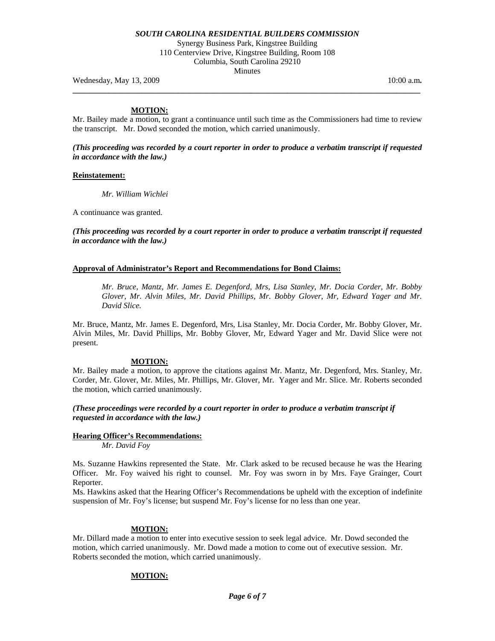Synergy Business Park, Kingstree Building 110 Centerview Drive, Kingstree Building, Room 108 Columbia, South Carolina 29210 Minutes

**\_\_\_\_\_\_\_\_\_\_\_\_\_\_\_\_\_\_\_\_\_\_\_\_\_\_\_\_\_\_\_\_\_\_\_\_\_\_\_\_\_\_\_\_\_\_\_\_\_\_\_\_\_\_\_\_\_\_\_\_\_\_\_\_\_\_\_\_\_\_\_\_\_\_\_\_\_\_\_\_\_\_\_\_\_\_** 

Wednesday, May 13, 2009 **10:00 a.m. 10:00 a.m. 10:00 a.m. 10:00 a.m.** 

## **MOTION:**

Mr. Bailey made a motion, to grant a continuance until such time as the Commissioners had time to review the transcript. Mr. Dowd seconded the motion, which carried unanimously.

*(This proceeding was recorded by a court reporter in order to produce a verbatim transcript if requested in accordance with the law.)* 

### **Reinstatement:**

*Mr. William Wichlei* 

A continuance was granted.

*(This proceeding was recorded by a court reporter in order to produce a verbatim transcript if requested in accordance with the law.)* 

## **Approval of Administrator's Report and Recommendations for Bond Claims:**

 *Mr. Bruce, Mantz, Mr. James E. Degenford, Mrs, Lisa Stanley, Mr. Docia Corder, Mr. Bobby Glover, Mr. Alvin Miles, Mr. David Phillips, Mr. Bobby Glover, Mr, Edward Yager and Mr. David Slice.* 

Mr. Bruce, Mantz, Mr. James E. Degenford, Mrs, Lisa Stanley, Mr. Docia Corder, Mr. Bobby Glover, Mr. Alvin Miles, Mr. David Phillips, Mr. Bobby Glover, Mr, Edward Yager and Mr. David Slice were not present.

## **MOTION:**

Mr. Bailey made a motion, to approve the citations against Mr. Mantz, Mr. Degenford, Mrs. Stanley, Mr. Corder, Mr. Glover, Mr. Miles, Mr. Phillips, Mr. Glover, Mr. Yager and Mr. Slice. Mr. Roberts seconded the motion, which carried unanimously.

*(These proceedings were recorded by a court reporter in order to produce a verbatim transcript if requested in accordance with the law.)* 

# **Hearing Officer's Recommendations:**

*Mr. David Foy* 

Ms. Suzanne Hawkins represented the State. Mr. Clark asked to be recused because he was the Hearing Officer. Mr. Foy waived his right to counsel. Mr. Foy was sworn in by Mrs. Faye Grainger, Court Reporter.

Ms. Hawkins asked that the Hearing Officer's Recommendations be upheld with the exception of indefinite suspension of Mr. Foy's license; but suspend Mr. Foy's license for no less than one year.

## **MOTION:**

Mr. Dillard made a motion to enter into executive session to seek legal advice. Mr. Dowd seconded the motion, which carried unanimously. Mr. Dowd made a motion to come out of executive session. Mr. Roberts seconded the motion, which carried unanimously.

## **MOTION:**